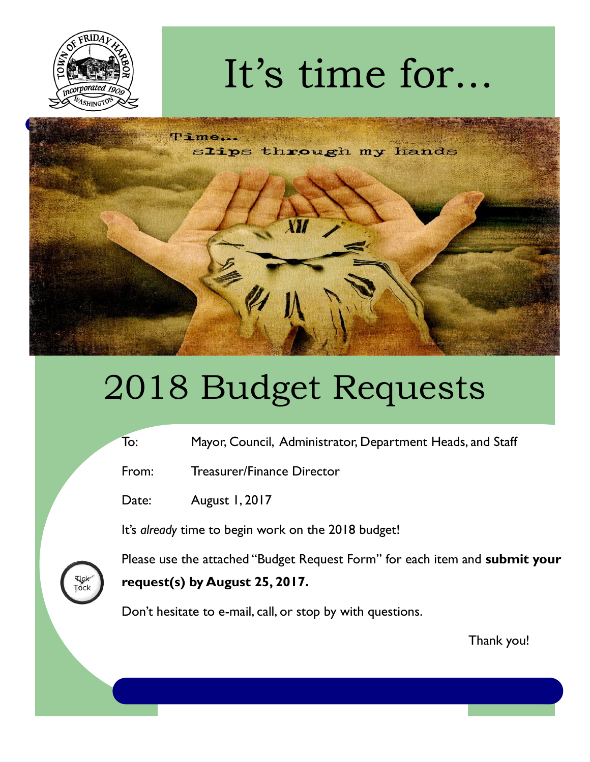

## It's time for...



## 2018 Budget Requests

- To: Mayor, Council, Administrator, Department Heads, and Staff
- From: Treasurer/Finance Director
- Date: August 1, 2017

It's *already* time to begin work on the 2018 budget!



Please use the attached "Budget Request Form" for each item and **submit your request(s) by August 25, 2017.**

Don't hesitate to e-mail, call, or stop by with questions.

Thank you!